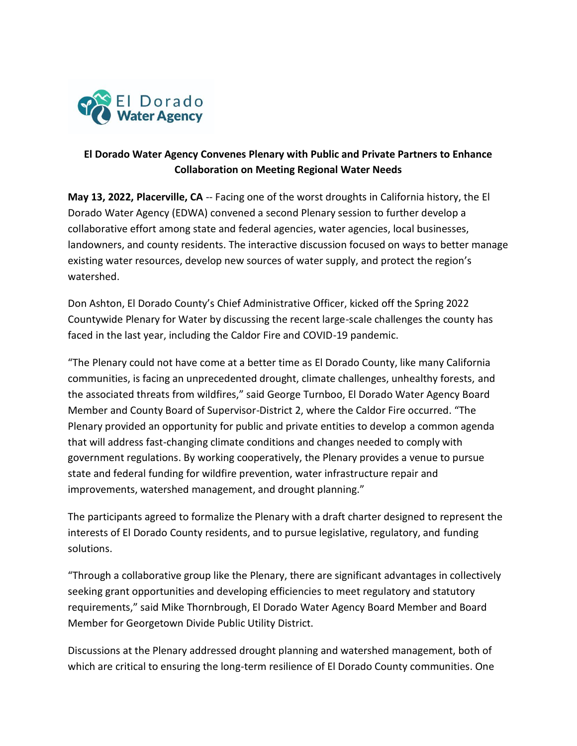

## **El Dorado Water Agency Convenes Plenary with Public and Private Partners to Enhance Collaboration on Meeting Regional Water Needs**

**May 13, 2022, Placerville, CA** -- Facing one of the worst droughts in California history, the El Dorado Water Agency (EDWA) convened a second Plenary session to further develop a collaborative effort among state and federal agencies, water agencies, local businesses, landowners, and county residents. The interactive discussion focused on ways to better manage existing water resources, develop new sources of water supply, and protect the region's watershed.

Don Ashton, El Dorado County's Chief Administrative Officer, kicked off the Spring 2022 Countywide Plenary for Water by discussing the recent large-scale challenges the county has faced in the last year, including the Caldor Fire and COVID-19 pandemic.

"The Plenary could not have come at a better time as El Dorado County, like many California communities, is facing an unprecedented drought, climate challenges, unhealthy forests, and the associated threats from wildfires," said George Turnboo, El Dorado Water Agency Board Member and County Board of Supervisor-District 2, where the Caldor Fire occurred. "The Plenary provided an opportunity for public and private entities to develop a common agenda that will address fast-changing climate conditions and changes needed to comply with government regulations. By working cooperatively, the Plenary provides a venue to pursue state and federal funding for wildfire prevention, water infrastructure repair and improvements, watershed management, and drought planning."

The participants agreed to formalize the Plenary with a draft charter designed to represent the interests of El Dorado County residents, and to pursue legislative, regulatory, and funding solutions.

"Through a collaborative group like the Plenary, there are significant advantages in collectively seeking grant opportunities and developing efficiencies to meet regulatory and statutory requirements," said Mike Thornbrough, El Dorado Water Agency Board Member and Board Member for Georgetown Divide Public Utility District.

Discussions at the Plenary addressed drought planning and watershed management, both of which are critical to ensuring the long-term resilience of El Dorado County communities. One